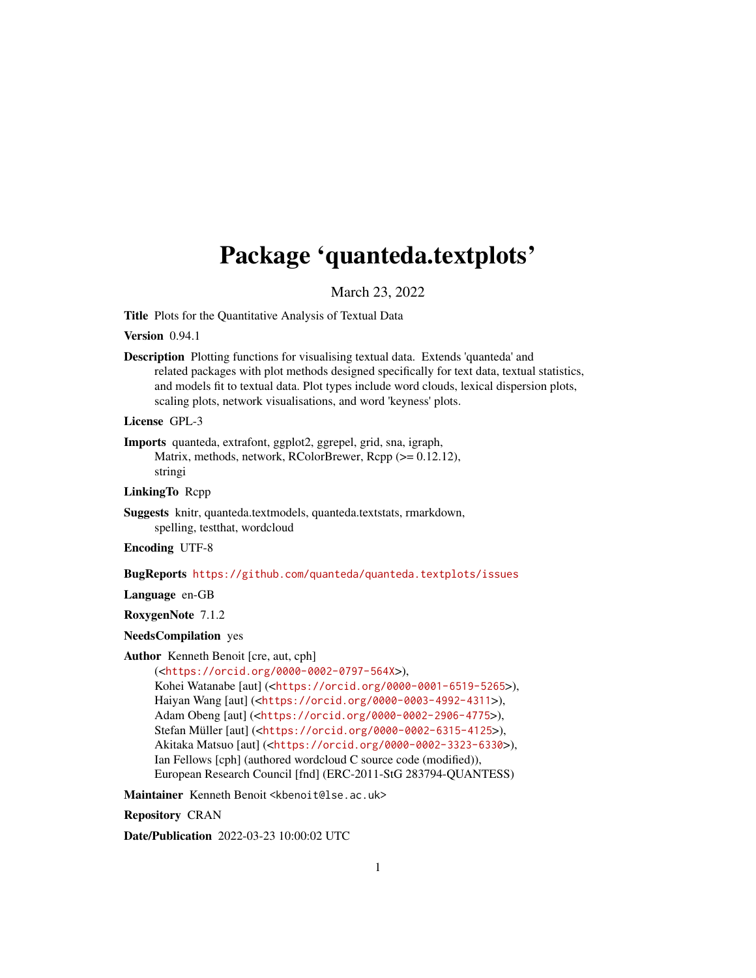## <span id="page-0-0"></span>Package 'quanteda.textplots'

March 23, 2022

Title Plots for the Quantitative Analysis of Textual Data

Version 0.94.1

Description Plotting functions for visualising textual data. Extends 'quanteda' and related packages with plot methods designed specifically for text data, textual statistics, and models fit to textual data. Plot types include word clouds, lexical dispersion plots, scaling plots, network visualisations, and word 'keyness' plots.

License GPL-3

Imports quanteda, extrafont, ggplot2, ggrepel, grid, sna, igraph, Matrix, methods, network, RColorBrewer, Rcpp ( $>= 0.12.12$ ), stringi

LinkingTo Rcpp

Suggests knitr, quanteda.textmodels, quanteda.textstats, rmarkdown, spelling, testthat, wordcloud

Encoding UTF-8

BugReports <https://github.com/quanteda/quanteda.textplots/issues>

Language en-GB

RoxygenNote 7.1.2

#### NeedsCompilation yes

Author Kenneth Benoit [cre, aut, cph]

(<<https://orcid.org/0000-0002-0797-564X>>), Kohei Watanabe [aut] (<<https://orcid.org/0000-0001-6519-5265>>), Haiyan Wang [aut] (<<https://orcid.org/0000-0003-4992-4311>>), Adam Obeng [aut] (<<https://orcid.org/0000-0002-2906-4775>>), Stefan Müller [aut] (<<https://orcid.org/0000-0002-6315-4125>>), Akitaka Matsuo [aut] (<<https://orcid.org/0000-0002-3323-6330>>), Ian Fellows [cph] (authored wordcloud C source code (modified)), European Research Council [fnd] (ERC-2011-StG 283794-QUANTESS)

Maintainer Kenneth Benoit <kbenoit@lse.ac.uk>

Repository CRAN

Date/Publication 2022-03-23 10:00:02 UTC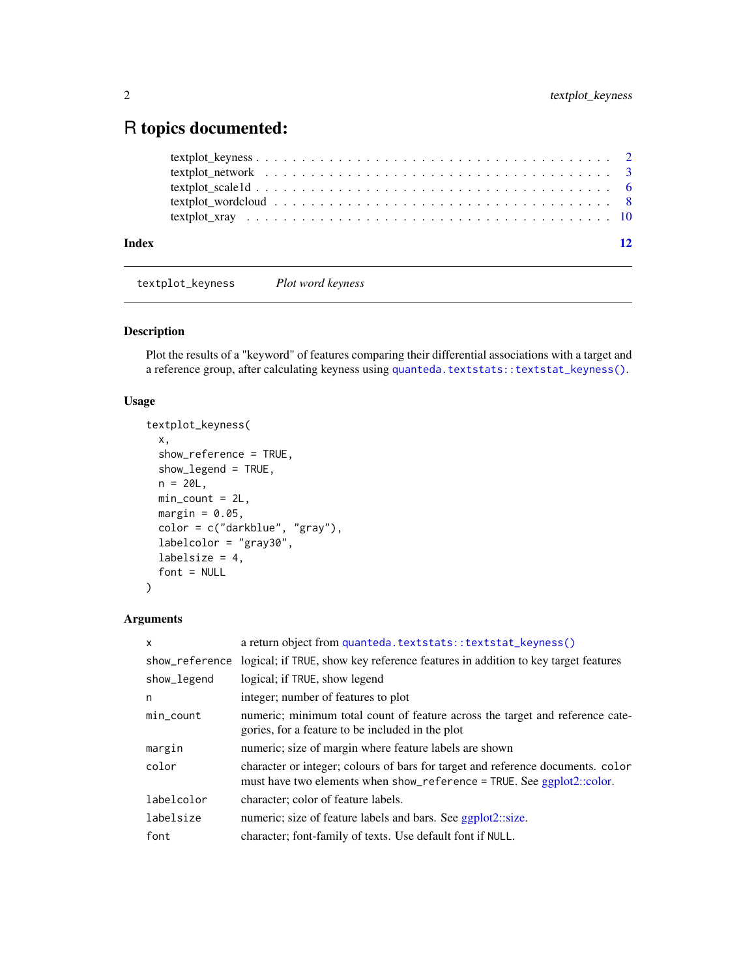### <span id="page-1-0"></span>R topics documented:

| Index |                                                                                                               | 12 |
|-------|---------------------------------------------------------------------------------------------------------------|----|
|       |                                                                                                               |    |
|       |                                                                                                               |    |
|       |                                                                                                               |    |
|       | textplot network $\ldots \ldots \ldots \ldots \ldots \ldots \ldots \ldots \ldots \ldots \ldots \ldots \ldots$ |    |
|       |                                                                                                               |    |

textplot\_keyness *Plot word keyness*

#### Description

Plot the results of a "keyword" of features comparing their differential associations with a target and a reference group, after calculating keyness using [quanteda.textstats::textstat\\_keyness\(\)](#page-0-0).

#### Usage

```
textplot_keyness(
  x,
  show_reference = TRUE,
  show_legend = TRUE,
 n = 20L,min\_count = 2L,
 margin = 0.05,
 color = c("darkblue", "gray"),
  labelcolor = "gray30",
  labelsize = 4,
  font = NULL
)
```

| $\mathsf{x}$   | a return object from quanteda.textstats::textstat_keyness()                                                                                               |
|----------------|-----------------------------------------------------------------------------------------------------------------------------------------------------------|
| show_reference | logical; if TRUE, show key reference features in addition to key target features                                                                          |
| show_legend    | logical; if TRUE, show legend                                                                                                                             |
| n              | integer; number of features to plot                                                                                                                       |
| $min\_count$   | numeric; minimum total count of feature across the target and reference cate-<br>gories, for a feature to be included in the plot                         |
| margin         | numeric; size of margin where feature labels are shown                                                                                                    |
| color          | character or integer; colours of bars for target and reference documents. color<br>must have two elements when show_reference = TRUE. See ggplot2::color. |
| labelcolor     | character; color of feature labels.                                                                                                                       |
| labelsize      | numeric; size of feature labels and bars. See ggplot2::size.                                                                                              |
| font           | character; font-family of texts. Use default font if NULL.                                                                                                |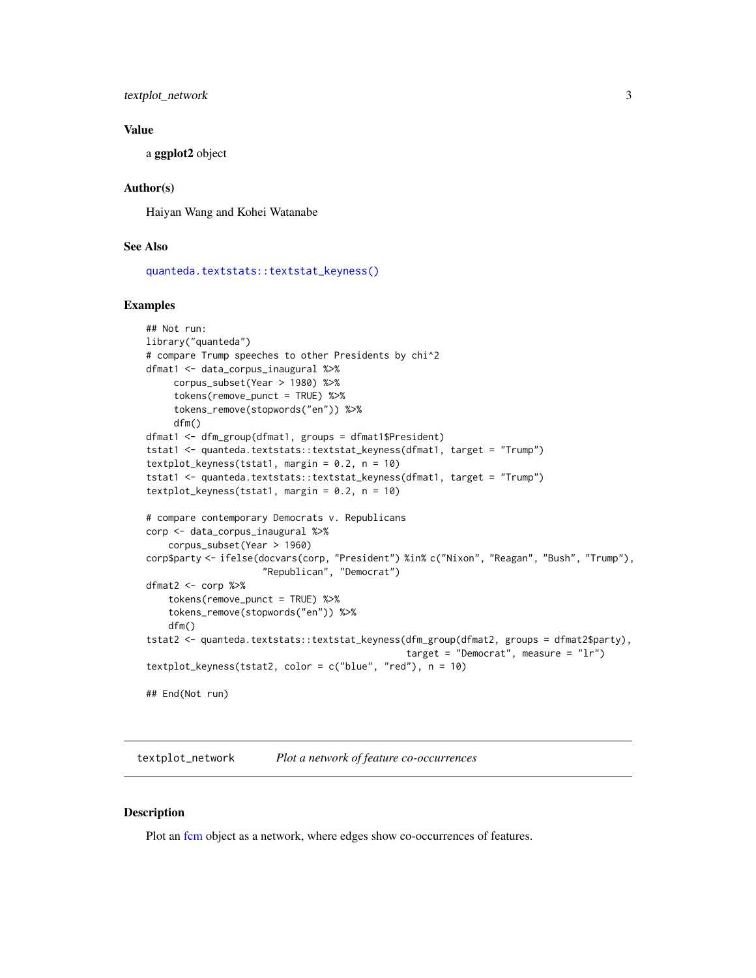<span id="page-2-0"></span>textplot\_network 3

#### Value

a ggplot2 object

#### Author(s)

Haiyan Wang and Kohei Watanabe

#### See Also

[quanteda.textstats::textstat\\_keyness\(\)](#page-0-0)

#### Examples

```
## Not run:
library("quanteda")
# compare Trump speeches to other Presidents by chi^2
dfmat1 <- data_corpus_inaugural %>%
     corpus_subset(Year > 1980) %>%
     tokens(remove_punct = TRUE) %>%
     tokens_remove(stopwords("en")) %>%
     dfm()
dfmat1 <- dfm_group(dfmat1, groups = dfmat1$President)
tstat1 <- quanteda.textstats::textstat_keyness(dfmat1, target = "Trump")
textplot_keyness(tstat1, margin = 0.2, n = 10)
tstat1 <- quanteda.textstats::textstat_keyness(dfmat1, target = "Trump")
textplot_keyness(tstat1, margin = 0.2, n = 10)
# compare contemporary Democrats v. Republicans
corp <- data_corpus_inaugural %>%
    corpus_subset(Year > 1960)
corp$party <- ifelse(docvars(corp, "President") %in% c("Nixon", "Reagan", "Bush", "Trump"),
                     "Republican", "Democrat")
dfmat2 <- corp %>%
    tokens(remove_punct = TRUE) %>%
    tokens_remove(stopwords("en")) %>%
    dfm()
tstat2 <- quanteda.textstats::textstat_keyness(dfm_group(dfmat2, groups = dfmat2$party),
                                               target = "Democrat", measure = "lr")
textplot_keyness(tstat2, color = c("blue", "red"), n = 10)
## End(Not run)
```
textplot\_network *Plot a network of feature co-occurrences*

#### <span id="page-2-1"></span>Description

Plot an [fcm](#page-0-0) object as a network, where edges show co-occurrences of features.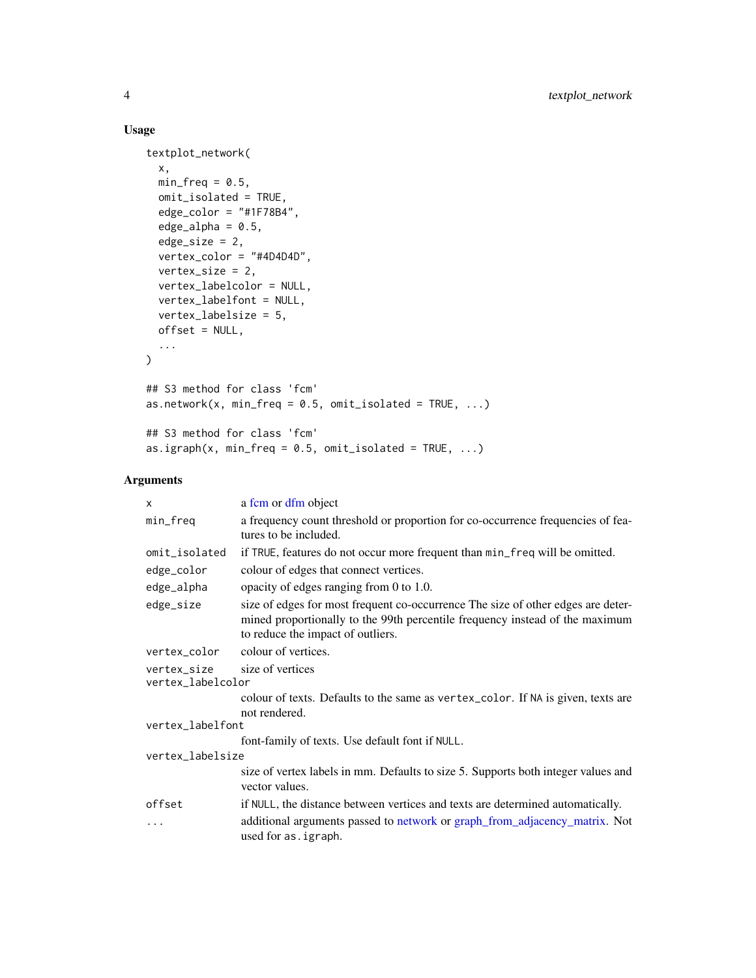#### Usage

```
textplot_network(
 x,
 min\_freq = 0.5,
 omit_isolated = TRUE,
 edge\_color = "#1F78B4",edge_alpha = 0.5,
 edge\_size = 2,
 vertex_color = "#4D4D4D",
 vertex_size = 2,
 vertex_labelcolor = NULL,
 vertex_labelfont = NULL,
 vertex_labelsize = 5,
 offset = NULL,
  ...
\mathcal{L}## S3 method for class 'fcm'
as.network(x, min_freq = 0.5, omit_isolated = TRUE, ...)
## S3 method for class 'fcm'
as.igraph(x, min_freq = 0.5, omit_isolated = TRUE, ...)
```

| X                                                    | a fcm or dfm object                                                                                                                                                                                   |  |
|------------------------------------------------------|-------------------------------------------------------------------------------------------------------------------------------------------------------------------------------------------------------|--|
| min_freq                                             | a frequency count threshold or proportion for co-occurrence frequencies of fea-<br>tures to be included.                                                                                              |  |
| omit_isolated                                        | if TRUE, features do not occur more frequent than min_freq will be omitted.                                                                                                                           |  |
| edge_color                                           | colour of edges that connect vertices.                                                                                                                                                                |  |
| edge_alpha                                           | opacity of edges ranging from 0 to 1.0.                                                                                                                                                               |  |
| edge_size                                            | size of edges for most frequent co-occurrence The size of other edges are deter-<br>mined proportionally to the 99th percentile frequency instead of the maximum<br>to reduce the impact of outliers. |  |
| vertex_color                                         | colour of vertices.                                                                                                                                                                                   |  |
| size of vertices<br>vertex_size<br>vertex_labelcolor |                                                                                                                                                                                                       |  |
|                                                      | colour of texts. Defaults to the same as vertex_color. If NA is given, texts are<br>not rendered.                                                                                                     |  |
| vertex_labelfont                                     |                                                                                                                                                                                                       |  |
|                                                      | font-family of texts. Use default font if NULL.                                                                                                                                                       |  |
| vertex_labelsize                                     |                                                                                                                                                                                                       |  |
|                                                      | size of vertex labels in mm. Defaults to size 5. Supports both integer values and<br>vector values.                                                                                                   |  |
| offset                                               | if NULL, the distance between vertices and texts are determined automatically.                                                                                                                        |  |
| .                                                    | additional arguments passed to network or graph_from_adjacency_matrix. Not<br>used for as. igraph.                                                                                                    |  |

<span id="page-3-0"></span>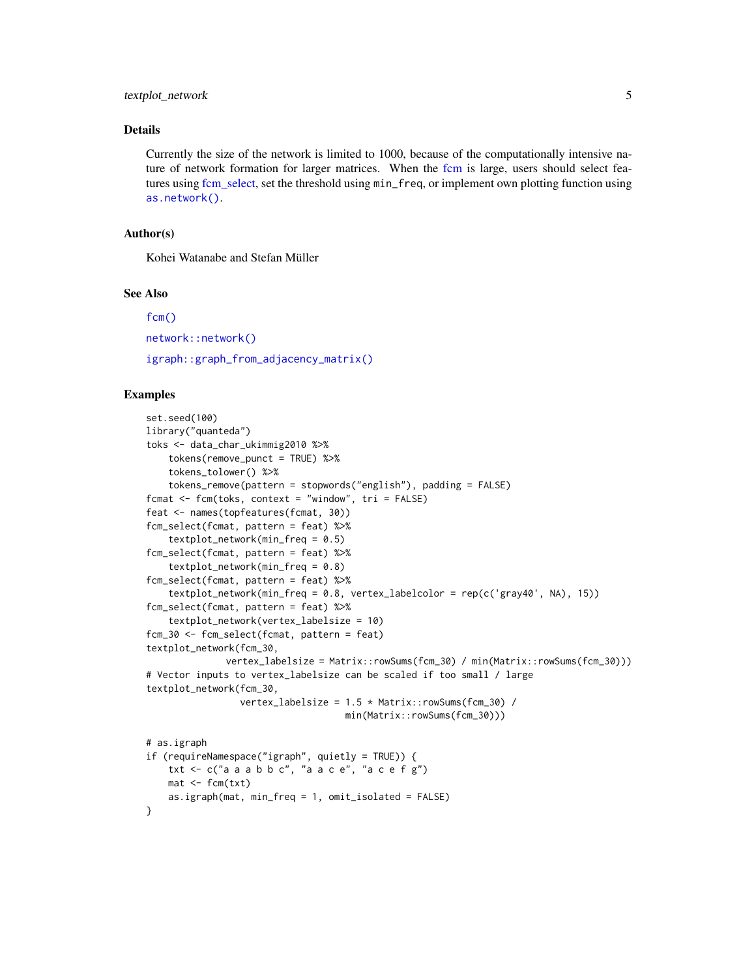#### <span id="page-4-0"></span>textplot\_network 5

#### Details

Currently the size of the network is limited to 1000, because of the computationally intensive nature of network formation for larger matrices. When the [fcm](#page-0-0) is large, users should select features using [fcm\\_select,](#page-0-0) set the threshold using min\_freq, or implement own plotting function using [as.network\(\)](#page-2-1).

#### Author(s)

Kohei Watanabe and Stefan Müller

#### See Also

[fcm\(\)](#page-0-0) [network::network\(\)](#page-0-0) [igraph::graph\\_from\\_adjacency\\_matrix\(\)](#page-0-0)

#### Examples

```
set.seed(100)
library("quanteda")
toks <- data_char_ukimmig2010 %>%
    tokens(remove_punct = TRUE) %>%
    tokens_tolower() %>%
    tokens_remove(pattern = stopwords("english"), padding = FALSE)
fcmat \leq fcm(toks, context = "window", tri = FALSE)
feat <- names(topfeatures(fcmat, 30))
fcm_select(fcmat, pattern = feat) %>%
    textplot\_network(min\_freq = 0.5)fcm_select(fcmat, pattern = feat) %>%
    textplot\_network(min\_freq = 0.8)fcm_select(fcmat, pattern = feat) %>%
    textplot_network(min_freq = 0.8, vertex_labelcolor = rep(c('gray40', NA), 15))
fcm_select(fcmat, pattern = feat) %>%
    textplot_network(vertex_labelsize = 10)
fcm_30 <- fcm_select(fcmat, pattern = feat)
textplot_network(fcm_30,
              vertex_labelsize = Matrix::rowSums(fcm_30) / min(Matrix::rowSums(fcm_30)))
# Vector inputs to vertex_labelsize can be scaled if too small / large
textplot_network(fcm_30,
                 vertex_labelsize = 1.5 * Matrix::rowSums(fcm_30) /
                                    min(Matrix::rowSums(fcm_30)))
# as.igraph
if (requireNamespace("igraph", quietly = TRUE)) {
    txt \leq c("a a a b b c", "a a c e", "a c e f g")
   mat < -fcm(txt)as.igraph(mat, min_freq = 1, omit_isolated = FALSE)
}
```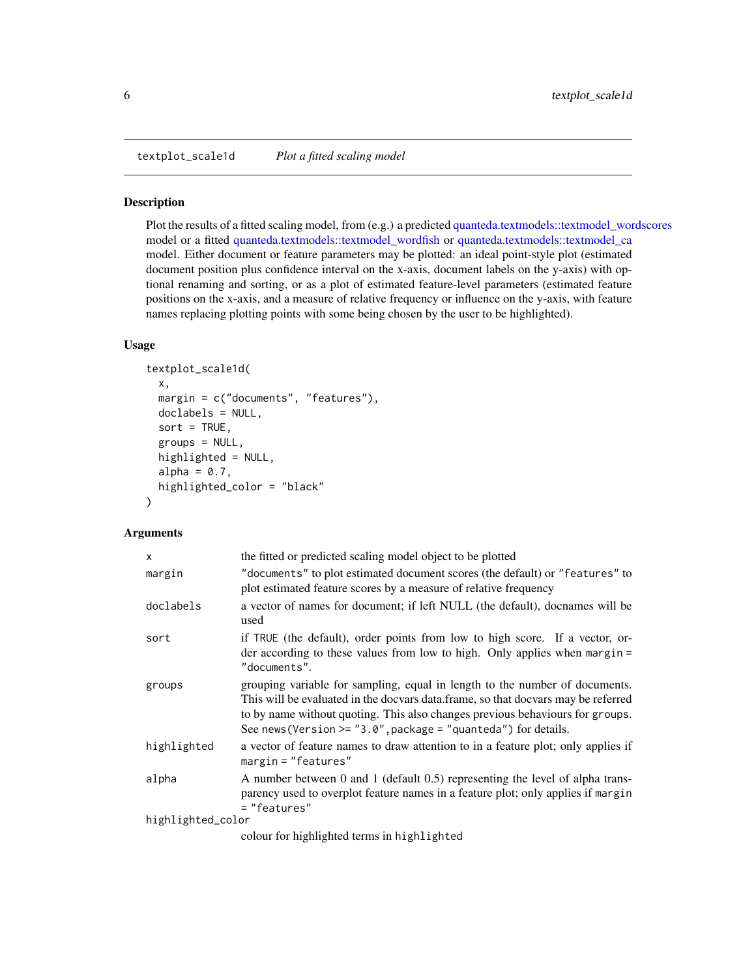<span id="page-5-0"></span>textplot\_scale1d *Plot a fitted scaling model*

#### Description

Plot the results of a fitted scaling model, from (e.g.) a predicted [quanteda.textmodels::textmodel\\_wordscores](#page-0-0) model or a fitted [quanteda.textmodels::textmodel\\_wordfish](#page-0-0) or [quanteda.textmodels::textmodel\\_ca](#page-0-0) model. Either document or feature parameters may be plotted: an ideal point-style plot (estimated document position plus confidence interval on the x-axis, document labels on the y-axis) with optional renaming and sorting, or as a plot of estimated feature-level parameters (estimated feature positions on the x-axis, and a measure of relative frequency or influence on the y-axis, with feature names replacing plotting points with some being chosen by the user to be highlighted).

#### Usage

```
textplot_scale1d(
  x,
 margin = c("documents", "features"),
 doclabels = NULL,
  sort = TRUE,groups = NULL,
  highlighted = NULL,
  alpha = 0.7,
 highlighted_color = "black"
)
```

| $\mathsf{x}$      | the fitted or predicted scaling model object to be plotted                                                                                                                                                                                                                                                            |  |
|-------------------|-----------------------------------------------------------------------------------------------------------------------------------------------------------------------------------------------------------------------------------------------------------------------------------------------------------------------|--|
| margin            | "documents" to plot estimated document scores (the default) or "features" to<br>plot estimated feature scores by a measure of relative frequency                                                                                                                                                                      |  |
| doclabels         | a vector of names for document; if left NULL (the default), docnames will be<br>used                                                                                                                                                                                                                                  |  |
| sort              | if TRUE (the default), order points from low to high score. If a vector, or-<br>der according to these values from low to high. Only applies when margin $=$<br>"documents".                                                                                                                                          |  |
| groups            | grouping variable for sampling, equal in length to the number of documents.<br>This will be evaluated in the docvars data.frame, so that docvars may be referred<br>to by name without quoting. This also changes previous behaviours for groups.<br>See news (Version $>=$ "3.0", package = "quanteda") for details. |  |
| highlighted       | a vector of feature names to draw attention to in a feature plot; only applies if<br>$margin="Testures"$                                                                                                                                                                                                              |  |
| alpha             | A number between 0 and 1 (default 0.5) representing the level of alpha trans-<br>parency used to overplot feature names in a feature plot; only applies if margin<br>= "features"                                                                                                                                     |  |
| highlighted_color |                                                                                                                                                                                                                                                                                                                       |  |
|                   | colour for highlighted terms in highlighted                                                                                                                                                                                                                                                                           |  |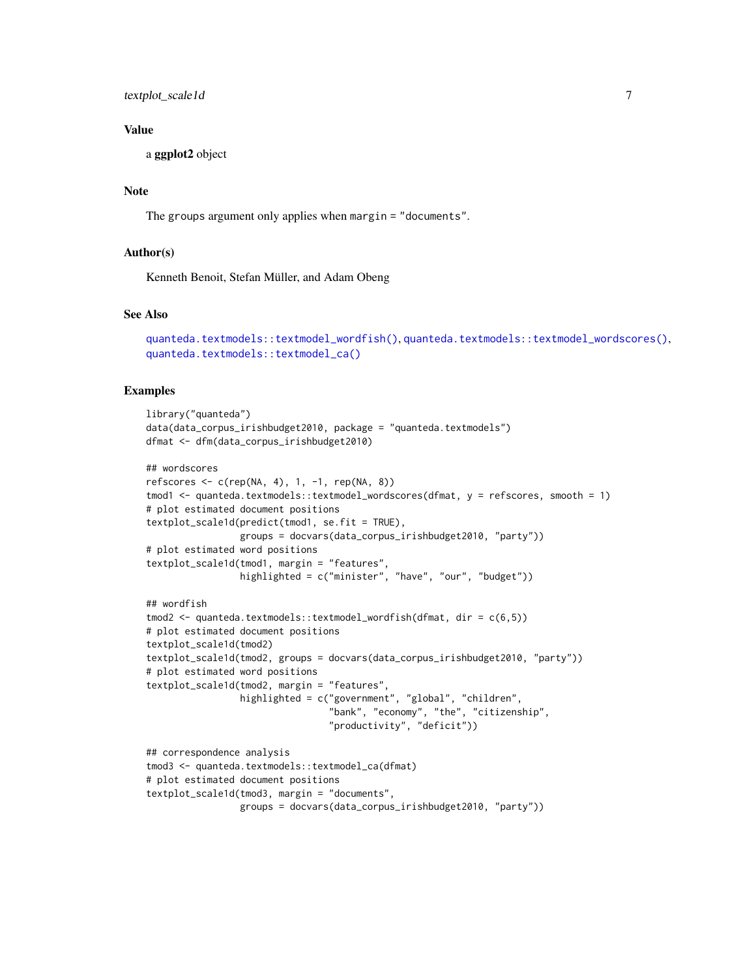<span id="page-6-0"></span>textplot\_scale1d 7

#### Value

a ggplot2 object

#### Note

The groups argument only applies when margin = "documents".

#### Author(s)

Kenneth Benoit, Stefan Müller, and Adam Obeng

#### See Also

```
quanteda.textmodels::textmodel_wordfish(), quanteda.textmodels::textmodel_wordscores(),
quanteda.textmodels::textmodel_ca()
```
#### Examples

```
library("quanteda")
data(data_corpus_irishbudget2010, package = "quanteda.textmodels")
dfmat <- dfm(data_corpus_irishbudget2010)
## wordscores
refscores \leq c(rep(NA, 4), 1, -1, rep(NA, 8))
tmod1 <- quanteda.textmodels::textmodel_wordscores(dfmat, y = refscores, smooth = 1)
# plot estimated document positions
textplot_scale1d(predict(tmod1, se.fit = TRUE),
                 groups = docvars(data_corpus_irishbudget2010, "party"))
# plot estimated word positions
textplot_scale1d(tmod1, margin = "features",
                 highlighted = c("minister", "have", "our", "budget"))
## wordfish
tmod2 <- quanteda.textmodels::textmodel_wordfish(dfmat, dir = c(6,5))
# plot estimated document positions
textplot_scale1d(tmod2)
textplot_scale1d(tmod2, groups = docvars(data_corpus_irishbudget2010, "party"))
# plot estimated word positions
textplot_scale1d(tmod2, margin = "features",
                 highlighted = c("government", "global", "children",
                                 "bank", "economy", "the", "citizenship",
                                 "productivity", "deficit"))
## correspondence analysis
tmod3 <- quanteda.textmodels::textmodel_ca(dfmat)
# plot estimated document positions
textplot_scale1d(tmod3, margin = "documents",
                 groups = docvars(data_corpus_irishbudget2010, "party"))
```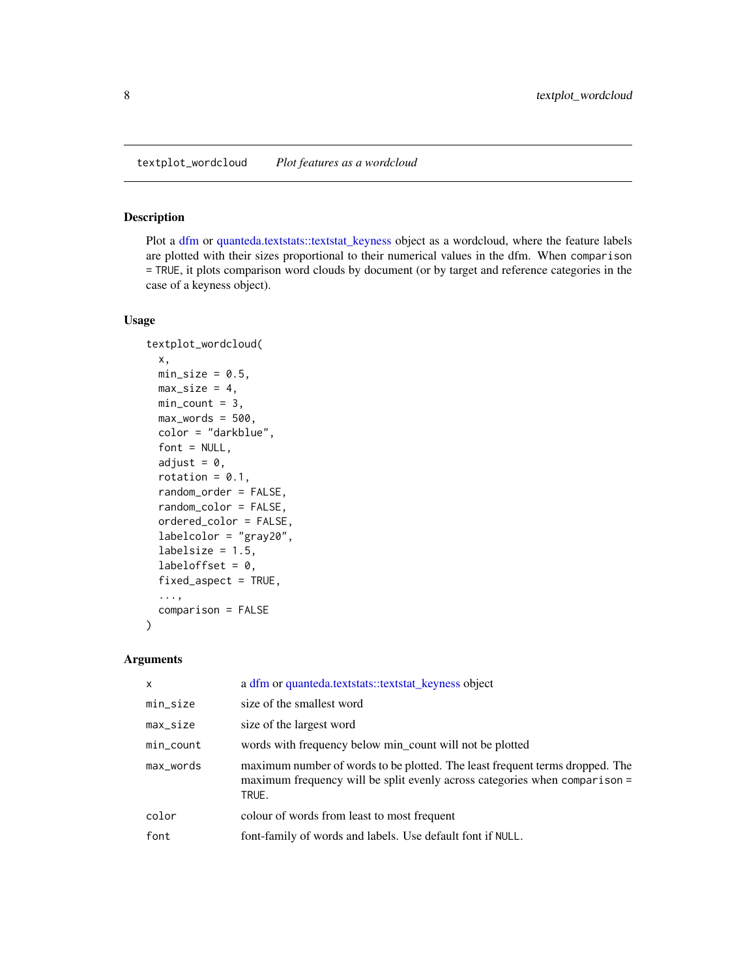### <span id="page-7-0"></span>Description

Plot a [dfm](#page-0-0) or [quanteda.textstats::textstat\\_keyness](#page-0-0) object as a wordcloud, where the feature labels are plotted with their sizes proportional to their numerical values in the dfm. When comparison = TRUE, it plots comparison word clouds by document (or by target and reference categories in the case of a keyness object).

#### Usage

```
textplot_wordcloud(
  x,
 min\_size = 0.5,
 max\_size = 4,
 min\_count = 3,
 max_words = 500,color = "darkblue",
  font = NULL,
  adjust = 0,
  rotation = 0.1,
  random_order = FALSE,
  random_color = FALSE,
  ordered_color = FALSE,
  labelcolor = "gray20",
  labelsize = 1.5,
  labeloffset = 0,
  fixed_aspect = TRUE,
  ...,
  comparison = FALSE
)
```

| $\mathsf{x}$ | a dfm or quanteda.textstats::textstat_keyness object                                                                                                                |
|--------------|---------------------------------------------------------------------------------------------------------------------------------------------------------------------|
| min_size     | size of the smallest word                                                                                                                                           |
| $max_size$   | size of the largest word                                                                                                                                            |
| min_count    | words with frequency below min_count will not be plotted                                                                                                            |
| max_words    | maximum number of words to be plotted. The least frequent terms dropped. The<br>maximum frequency will be split evenly across categories when comparison =<br>TRUE. |
| color        | colour of words from least to most frequent                                                                                                                         |
| font         | font-family of words and labels. Use default font if NULL.                                                                                                          |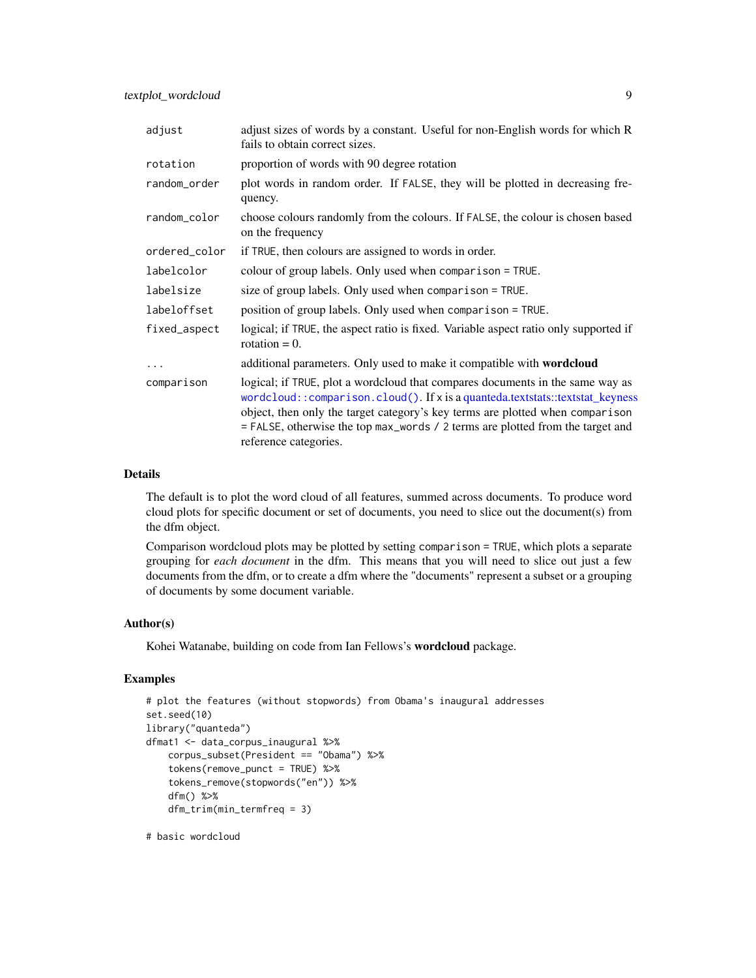<span id="page-8-0"></span>textplot\_wordcloud 9

| adjust        | adjust sizes of words by a constant. Useful for non-English words for which R<br>fails to obtain correct sizes.                                                                                                                                                                                                                                             |
|---------------|-------------------------------------------------------------------------------------------------------------------------------------------------------------------------------------------------------------------------------------------------------------------------------------------------------------------------------------------------------------|
| rotation      | proportion of words with 90 degree rotation                                                                                                                                                                                                                                                                                                                 |
| random_order  | plot words in random order. If FALSE, they will be plotted in decreasing fre-<br>quency.                                                                                                                                                                                                                                                                    |
| random_color  | choose colours randomly from the colours. If FALSE, the colour is chosen based<br>on the frequency                                                                                                                                                                                                                                                          |
| ordered_color | if TRUE, then colours are assigned to words in order.                                                                                                                                                                                                                                                                                                       |
| labelcolor    | colour of group labels. Only used when comparison = TRUE.                                                                                                                                                                                                                                                                                                   |
| labelsize     | size of group labels. Only used when comparison = TRUE.                                                                                                                                                                                                                                                                                                     |
| labeloffset   | position of group labels. Only used when comparison = TRUE.                                                                                                                                                                                                                                                                                                 |
| fixed_aspect  | logical; if TRUE, the aspect ratio is fixed. Variable aspect ratio only supported if<br>rotation $= 0$ .                                                                                                                                                                                                                                                    |
| .             | additional parameters. Only used to make it compatible with wordcloud                                                                                                                                                                                                                                                                                       |
| comparison    | logical; if TRUE, plot a wordcloud that compares documents in the same way as<br>wordcloud:: comparison.cloud(). If x is a quanteda.textstats::textstat_keyness<br>object, then only the target category's key terms are plotted when comparison<br>= FALSE, otherwise the top max_words / 2 terms are plotted from the target and<br>reference categories. |

#### Details

The default is to plot the word cloud of all features, summed across documents. To produce word cloud plots for specific document or set of documents, you need to slice out the document(s) from the dfm object.

Comparison wordcloud plots may be plotted by setting comparison = TRUE, which plots a separate grouping for *each document* in the dfm. This means that you will need to slice out just a few documents from the dfm, or to create a dfm where the "documents" represent a subset or a grouping of documents by some document variable.

#### Author(s)

Kohei Watanabe, building on code from Ian Fellows's wordcloud package.

#### Examples

```
# plot the features (without stopwords) from Obama's inaugural addresses
set.seed(10)
library("quanteda")
dfmat1 <- data_corpus_inaugural %>%
    corpus_subset(President == "Obama") %>%
    tokens(remove_punct = TRUE) %>%
    tokens_remove(stopwords("en")) %>%
    dfm() %>%
    dfm_trim(min_termfreq = 3)
```
# basic wordcloud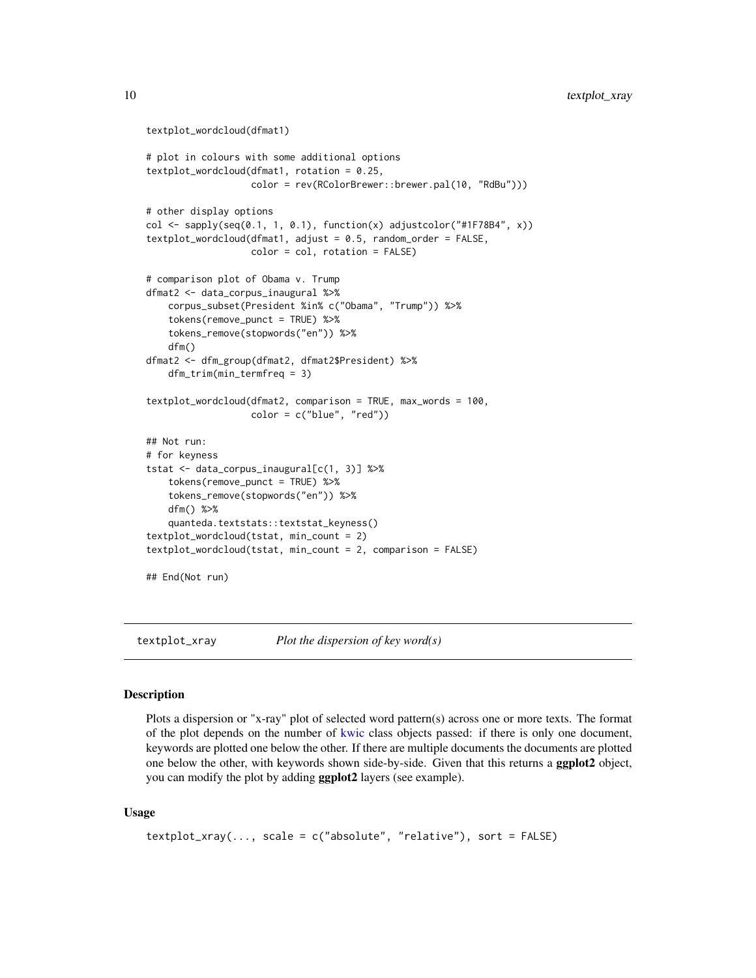```
textplot_wordcloud(dfmat1)
# plot in colours with some additional options
textplot_wordcloud(dfmat1, rotation = 0.25,
                   color = rev(RColorBrewer::brewer.pal(10, "RdBu")))
# other display options
col \leftarrow sapply(seq(0.1, 1, 0.1), function(x) adjustcolor("#1F78B4", x))
textplot_wordcloud(dfmat1, adjust = 0.5, random-order = FALSE,color = col, rotation = FALSE)
# comparison plot of Obama v. Trump
dfmat2 <- data_corpus_inaugural %>%
    corpus_subset(President %in% c("Obama", "Trump")) %>%
    tokens(remove_punct = TRUE) %>%
    tokens_remove(stopwords("en")) %>%
   dfm()
dfmat2 <- dfm_group(dfmat2, dfmat2$President) %>%
   dfm_trim(min_termfreq = 3)
textplot_wordcloud(dfmat2, comparison = TRUE, max_words = 100,
                   color = c("blue", "red")## Not run:
# for keyness
tstat <- data_corpus_inaugural[c(1, 3)] %>%
    tokens(remove_punct = TRUE) %>%
    tokens_remove(stopwords("en")) %>%
    dfm() %>%
    quanteda.textstats::textstat_keyness()
textplot_wordcloud(tstat, min_count = 2)
textplot_wordcloud(tstat, min_count = 2, comparison = FALSE)
## End(Not run)
```
textplot\_xray *Plot the dispersion of key word(s)*

#### Description

Plots a dispersion or "x-ray" plot of selected word pattern(s) across one or more texts. The format of the plot depends on the number of [kwic](#page-0-0) class objects passed: if there is only one document, keywords are plotted one below the other. If there are multiple documents the documents are plotted one below the other, with keywords shown side-by-side. Given that this returns a **ggplot2** object, you can modify the plot by adding ggplot2 layers (see example).

#### Usage

```
textplot\_xray(..., scale = c("absolute", "relative"), sort = FALSE)
```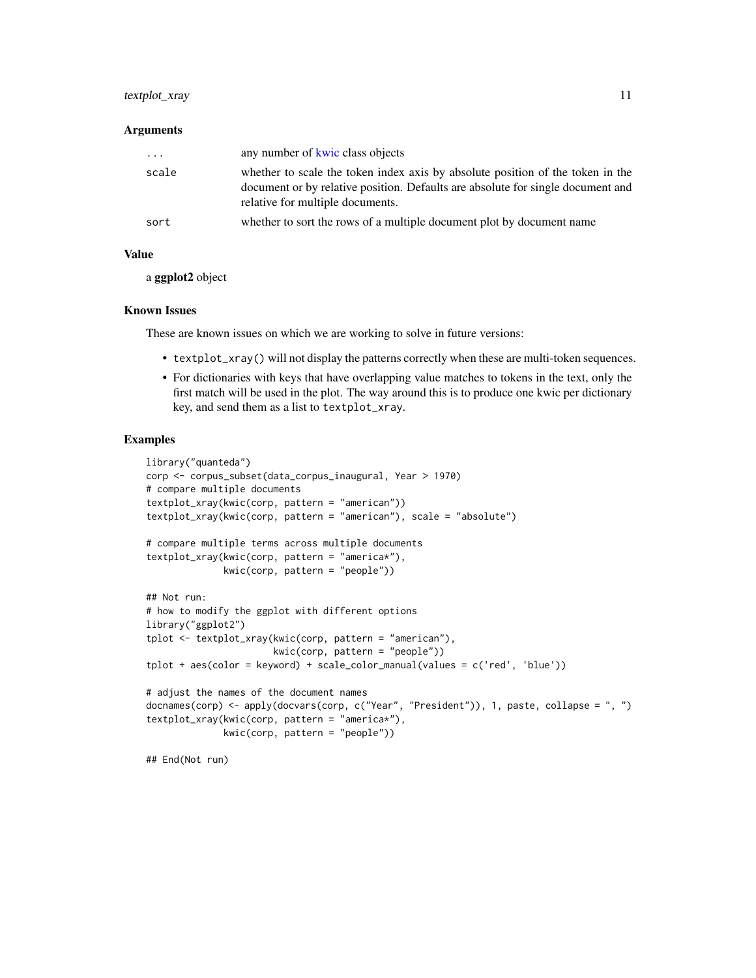#### <span id="page-10-0"></span>textplot\_xray 11

#### Arguments

| .     | any number of kwic class objects                                                                                                                                                                      |
|-------|-------------------------------------------------------------------------------------------------------------------------------------------------------------------------------------------------------|
| scale | whether to scale the token index axis by absolute position of the token in the<br>document or by relative position. Defaults are absolute for single document and<br>relative for multiple documents. |
| sort  | whether to sort the rows of a multiple document plot by document name                                                                                                                                 |

#### Value

a ggplot2 object

#### Known Issues

These are known issues on which we are working to solve in future versions:

- textplot\_xray() will not display the patterns correctly when these are multi-token sequences.
- For dictionaries with keys that have overlapping value matches to tokens in the text, only the first match will be used in the plot. The way around this is to produce one kwic per dictionary key, and send them as a list to textplot\_xray.

#### Examples

```
library("quanteda")
corp <- corpus_subset(data_corpus_inaugural, Year > 1970)
# compare multiple documents
textplot_xray(kwic(corp, pattern = "american"))
textplot_xray(kwic(corp, pattern = "american"), scale = "absolute")
# compare multiple terms across multiple documents
textplot_xray(kwic(corp, pattern = "america*"),
             kwic(corp, pattern = "people"))
## Not run:
# how to modify the ggplot with different options
library("ggplot2")
tplot <- textplot_xray(kwic(corp, pattern = "american"),
                       kwic(corp, pattern = "people"))
tplot + aes(color = keyword) + scale_color_manual(values = c('red', 'blue'))
# adjust the names of the document names
docnames(corp) <- apply(docvars(corp, c("Year", "President")), 1, paste, collapse = ", ")
textplot_xray(kwic(corp, pattern = "america*"),
              kwic(corp, pattern = "people"))
```
## End(Not run)